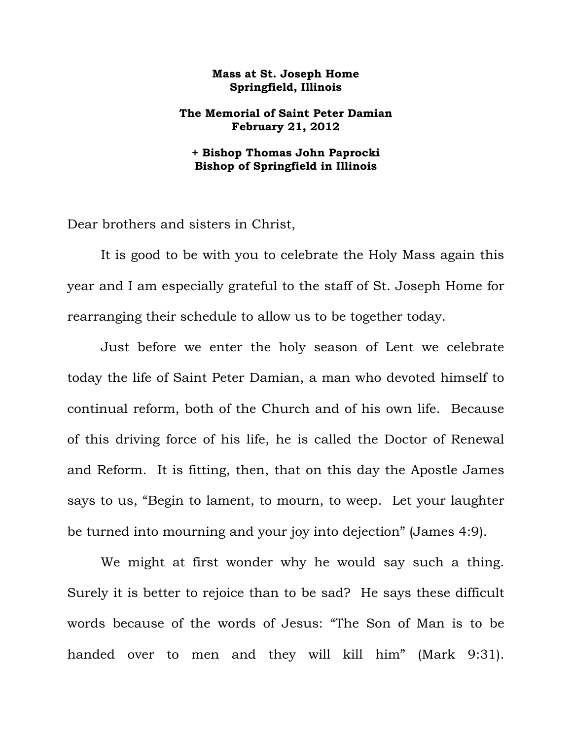## **Mass at St. Joseph Home Springfield, Illinois**

## **The Memorial of Saint Peter Damian February 21, 2012**

## **+ Bishop Thomas John Paprocki Bishop of Springfield in Illinois**

Dear brothers and sisters in Christ,

 It is good to be with you to celebrate the Holy Mass again this year and I am especially grateful to the staff of St. Joseph Home for rearranging their schedule to allow us to be together today.

 Just before we enter the holy season of Lent we celebrate today the life of Saint Peter Damian, a man who devoted himself to continual reform, both of the Church and of his own life. Because of this driving force of his life, he is called the Doctor of Renewal and Reform. It is fitting, then, that on this day the Apostle James says to us, "Begin to lament, to mourn, to weep. Let your laughter be turned into mourning and your joy into dejection" (James 4:9).

 We might at first wonder why he would say such a thing. Surely it is better to rejoice than to be sad? He says these difficult words because of the words of Jesus: "The Son of Man is to be handed over to men and they will kill him" (Mark 9:31).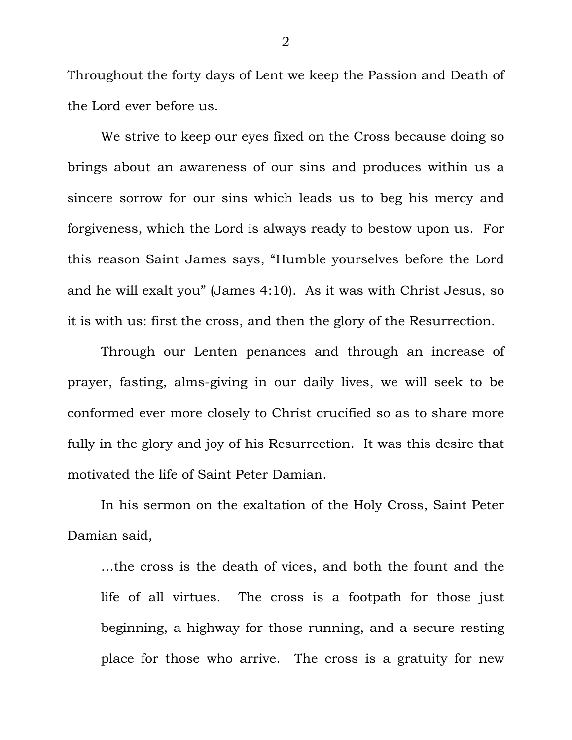Throughout the forty days of Lent we keep the Passion and Death of the Lord ever before us.

 We strive to keep our eyes fixed on the Cross because doing so brings about an awareness of our sins and produces within us a sincere sorrow for our sins which leads us to beg his mercy and forgiveness, which the Lord is always ready to bestow upon us. For this reason Saint James says, "Humble yourselves before the Lord and he will exalt you" (James 4:10). As it was with Christ Jesus, so it is with us: first the cross, and then the glory of the Resurrection.

 Through our Lenten penances and through an increase of prayer, fasting, alms-giving in our daily lives, we will seek to be conformed ever more closely to Christ crucified so as to share more fully in the glory and joy of his Resurrection. It was this desire that motivated the life of Saint Peter Damian.

 In his sermon on the exaltation of the Holy Cross, Saint Peter Damian said,

…the cross is the death of vices, and both the fount and the life of all virtues. The cross is a footpath for those just beginning, a highway for those running, and a secure resting place for those who arrive. The cross is a gratuity for new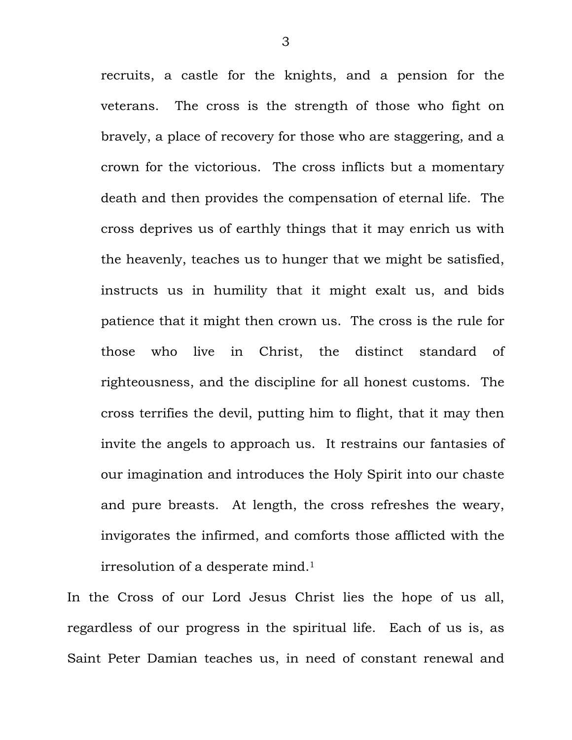recruits, a castle for the knights, and a pension for the veterans. The cross is the strength of those who fight on bravely, a place of recovery for those who are staggering, and a crown for the victorious. The cross inflicts but a momentary death and then provides the compensation of eternal life. The cross deprives us of earthly things that it may enrich us with the heavenly, teaches us to hunger that we might be satisfied, instructs us in humility that it might exalt us, and bids patience that it might then crown us. The cross is the rule for those who live in Christ, the distinct standard of righteousness, and the discipline for all honest customs. The cross terrifies the devil, putting him to flight, that it may then invite the angels to approach us. It restrains our fantasies of our imagination and introduces the Holy Spirit into our chaste and pure breasts. At length, the cross refreshes the weary, invigorates the infirmed, and comforts those afflicted with the irresolution of a desperate mind.1

In the Cross of our Lord Jesus Christ lies the hope of us all, regardless of our progress in the spiritual life. Each of us is, as Saint Peter Damian teaches us, in need of constant renewal and